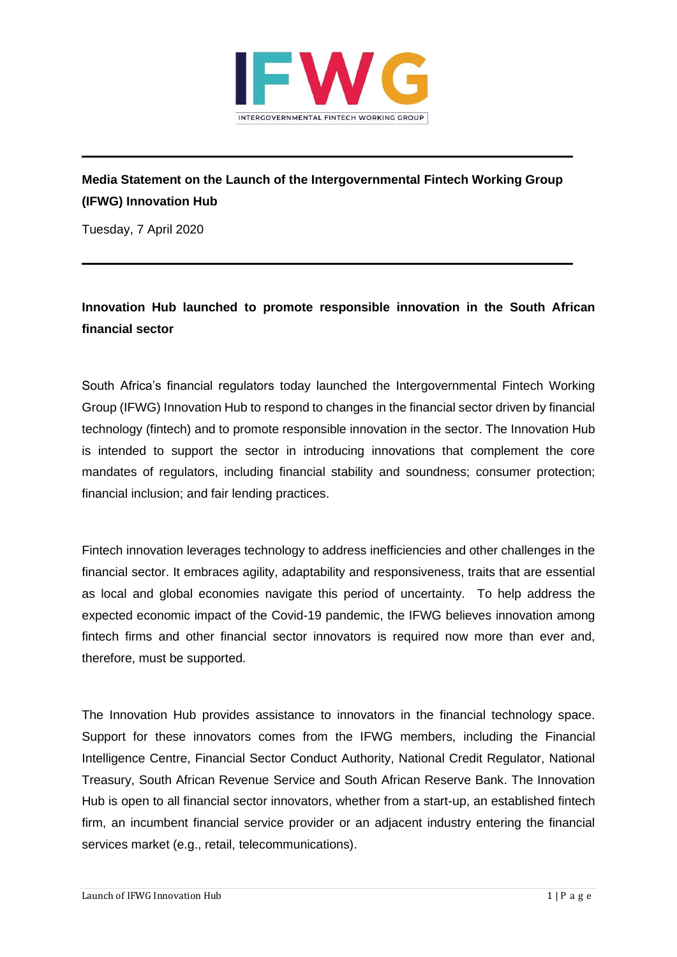

## **Media Statement on the Launch of the Intergovernmental Fintech Working Group (IFWG) Innovation Hub**

Tuesday, 7 April 2020

## **Innovation Hub launched to promote responsible innovation in the South African financial sector**

South Africa's financial regulators today launched the Intergovernmental Fintech Working Group (IFWG) Innovation Hub to respond to changes in the financial sector driven by financial technology (fintech) and to promote responsible innovation in the sector. The Innovation Hub is intended to support the sector in introducing innovations that complement the core mandates of regulators, including financial stability and soundness; consumer protection; financial inclusion; and fair lending practices.

Fintech innovation leverages technology to address inefficiencies and other challenges in the financial sector. It embraces agility, adaptability and responsiveness, traits that are essential as local and global economies navigate this period of uncertainty. To help address the expected economic impact of the Covid-19 pandemic, the IFWG believes innovation among fintech firms and other financial sector innovators is required now more than ever and, therefore, must be supported.

The Innovation Hub provides assistance to innovators in the financial technology space. Support for these innovators comes from the IFWG members, including the Financial Intelligence Centre, Financial Sector Conduct Authority, National Credit Regulator, National Treasury, South African Revenue Service and South African Reserve Bank. The Innovation Hub is open to all financial sector innovators, whether from a start-up, an established fintech firm, an incumbent financial service provider or an adjacent industry entering the financial services market (e.g., retail, telecommunications).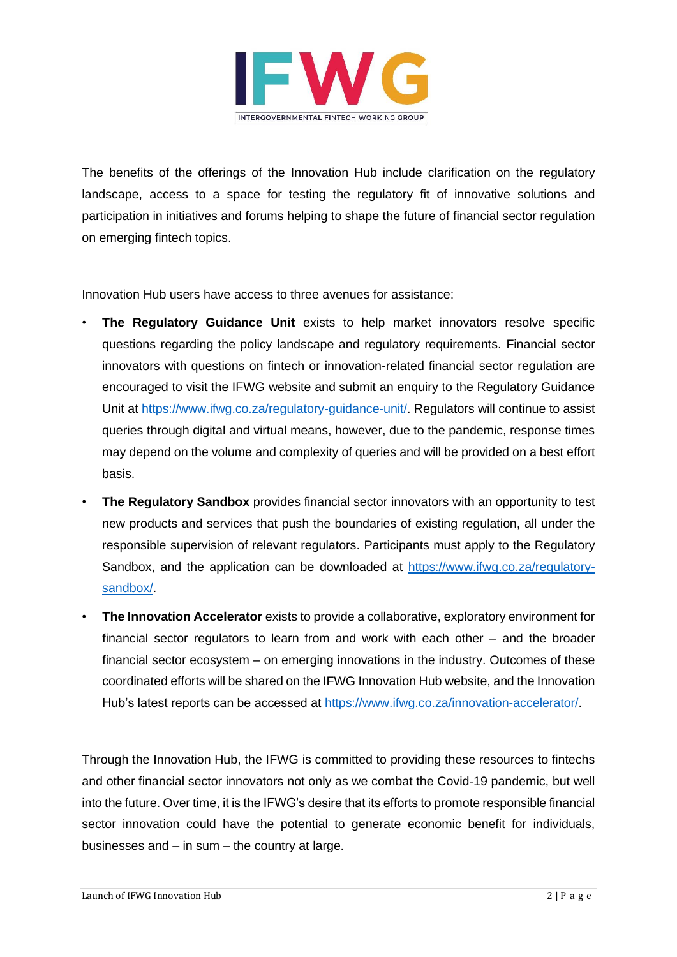

The benefits of the offerings of the Innovation Hub include clarification on the regulatory landscape, access to a space for testing the regulatory fit of innovative solutions and participation in initiatives and forums helping to shape the future of financial sector regulation on emerging fintech topics.

Innovation Hub users have access to three avenues for assistance:

- **The Regulatory Guidance Unit** exists to help market innovators resolve specific questions regarding the policy landscape and regulatory requirements. Financial sector innovators with questions on fintech or innovation-related financial sector regulation are encouraged to visit the IFWG website and submit an enquiry to the Regulatory Guidance Unit at [https://www.ifwg.co.za/regulatory-guidance-unit/.](https://www.ifwg.co.za/regulatory-guidance-unit/) Regulators will continue to assist queries through digital and virtual means, however, due to the pandemic, response times may depend on the volume and complexity of queries and will be provided on a best effort basis.
- **The Regulatory Sandbox** provides financial sector innovators with an opportunity to test new products and services that push the boundaries of existing regulation, all under the responsible supervision of relevant regulators. Participants must apply to the Regulatory Sandbox, and the application can be downloaded at [https://www.ifwg.co.za/regulatory](https://www.ifwg.co.za/regulatory-sandbox/)[sandbox/.](https://www.ifwg.co.za/regulatory-sandbox/)
- **The Innovation Accelerator** exists to provide a collaborative, exploratory environment for financial sector regulators to learn from and work with each other – and the broader financial sector ecosystem – on emerging innovations in the industry. Outcomes of these coordinated efforts will be shared on the IFWG Innovation Hub website, and the Innovation Hub's latest reports can be accessed at [https://www.ifwg.co.za/innovation-accelerator/.](https://www.ifwg.co.za/innovation-accelerator/)

Through the Innovation Hub, the IFWG is committed to providing these resources to fintechs and other financial sector innovators not only as we combat the Covid-19 pandemic, but well into the future. Over time, it is the IFWG's desire that its efforts to promote responsible financial sector innovation could have the potential to generate economic benefit for individuals, businesses and – in sum – the country at large.